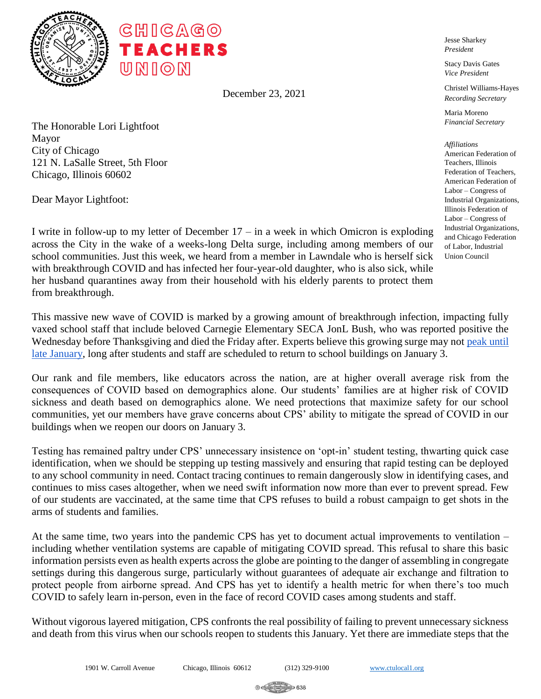

December 23, 2021

The Honorable Lori Lightfoot Mayor City of Chicago 121 N. LaSalle Street, 5th Floor Chicago, Illinois 60602

Dear Mayor Lightfoot:

I write in follow-up to my letter of December 17 – in a week in which Omicron is exploding across the City in the wake of a weeks-long Delta surge, including among members of our school communities. Just this week, we heard from a member in Lawndale who is herself sick with breakthrough COVID and has infected her four-year-old daughter, who is also sick, while her husband quarantines away from their household with his elderly parents to protect them from breakthrough.

This massive new wave of COVID is marked by a growing amount of breakthrough infection, impacting fully vaxed school staff that include beloved Carnegie Elementary SECA JonL Bush, who was reported positive the Wednesday before Thanksgiving and died the Friday after. Experts believe this growing surge may not [peak until](https://www.npr.org/2021/12/22/1066649196/omicron-will-cause-more-infections-but-lower-hospital-rates-analysis-shows)  [late January,](https://www.npr.org/2021/12/22/1066649196/omicron-will-cause-more-infections-but-lower-hospital-rates-analysis-shows) long after students and staff are scheduled to return to school buildings on January 3.

Our rank and file members, like educators across the nation, are at higher overall average risk from the consequences of COVID based on demographics alone. Our students' families are at higher risk of COVID sickness and death based on demographics alone. We need protections that maximize safety for our school communities, yet our members have grave concerns about CPS' ability to mitigate the spread of COVID in our buildings when we reopen our doors on January 3.

Testing has remained paltry under CPS' unnecessary insistence on 'opt-in' student testing, thwarting quick case identification, when we should be stepping up testing massively and ensuring that rapid testing can be deployed to any school community in need. Contact tracing continues to remain dangerously slow in identifying cases, and continues to miss cases altogether, when we need swift information now more than ever to prevent spread. Few of our students are vaccinated, at the same time that CPS refuses to build a robust campaign to get shots in the arms of students and families.

At the same time, two years into the pandemic CPS has yet to document actual improvements to ventilation – including whether ventilation systems are capable of mitigating COVID spread. This refusal to share this basic information persists even as health experts across the globe are pointing to the danger of assembling in congregate settings during this dangerous surge, particularly without guarantees of adequate air exchange and filtration to protect people from airborne spread. And CPS has yet to identify a health metric for when there's too much COVID to safely learn in-person, even in the face of record COVID cases among students and staff.

Without vigorous layered mitigation, CPS confronts the real possibility of failing to prevent unnecessary sickness and death from this virus when our schools reopen to students this January. Yet there are immediate steps that the

Jesse Sharkey *President*

Stacy Davis Gates *Vice President*

Christel Williams-Hayes *Recording Secretary*

Maria Moreno *Financial Secretary*

*Affiliations* American Federation of Teachers, Illinois Federation of Teachers, American Federation of Labor – Congress of Industrial Organizations, Illinois Federation of Labor – Congress of Industrial Organizations, and Chicago Federation of Labor, Industrial Union Council